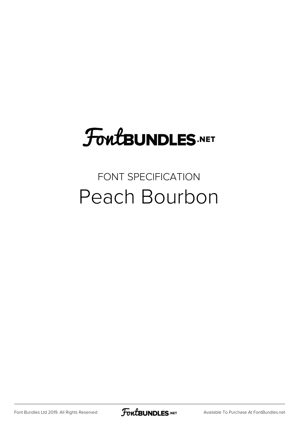# **FoutBUNDLES.NET**

# FONT SPECIFICATION Peach Bourbon

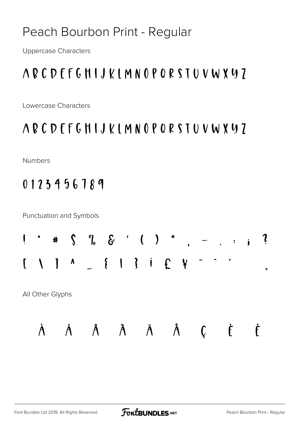### Peach Bourbon Print - Regular

**Uppercase Characters** 

### A B C D E F G H I J K L M N O P Q R S T U V W X Y Z

Lowercase Characters

### ABCDEFGHIJKIMNOPQRSTUVWXYZ

**Numbers** 

### 0123456789

**Punctuation and Symbols** 

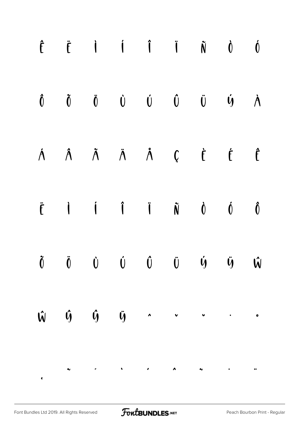|  | $\hat{E} \qquad \ddot{E} \qquad \dot{I} \qquad \hat{I} \qquad \ddot{I} \qquad \tilde{N} \qquad \dot{0} \qquad \dot{0}$                                                                                                                                                                                                                                                                                                                                                                            |  |  |  |
|--|---------------------------------------------------------------------------------------------------------------------------------------------------------------------------------------------------------------------------------------------------------------------------------------------------------------------------------------------------------------------------------------------------------------------------------------------------------------------------------------------------|--|--|--|
|  | $\begin{matrix} \hat{\mathbf{0}} & \tilde{\mathbf{0}} & \tilde{\mathbf{0}} & \tilde{\mathbf{0}} & \tilde{\mathbf{0}} & \tilde{\mathbf{0}} & \tilde{\mathbf{0}} & \tilde{\mathbf{0}} & \tilde{\mathbf{0}} & \tilde{\mathbf{0}} & \tilde{\mathbf{0}} & \tilde{\mathbf{0}} & \tilde{\mathbf{0}} & \tilde{\mathbf{0}} & \tilde{\mathbf{0}} & \tilde{\mathbf{0}} & \tilde{\mathbf{0}} & \tilde{\mathbf{0}} & \tilde{\mathbf{0}} & \tilde{\mathbf{0}} & \tilde{\mathbf{0}} & \tilde{\mathbf$            |  |  |  |
|  | Á Â Ã Ä Å Ç È É Ê                                                                                                                                                                                                                                                                                                                                                                                                                                                                                 |  |  |  |
|  | $\ddot{\mathsf{F}} \qquad \dot{\mathsf{I}} \qquad \dot{\mathsf{I}} \qquad \ddot{\mathsf{I}} \qquad \ddot{\mathsf{N}} \qquad \dot{\mathsf{N}} \qquad \dot{\mathsf{0}} \qquad \qquad \dot{\mathsf{0}}$                                                                                                                                                                                                                                                                                              |  |  |  |
|  | $\tilde{0}$ $\tilde{0}$ $\tilde{0}$ $\tilde{0}$ $\tilde{0}$ $\tilde{0}$ $\tilde{0}$ $\tilde{0}$ $\tilde{0}$ $\tilde{0}$                                                                                                                                                                                                                                                                                                                                                                           |  |  |  |
|  | $\hat{\mathsf{W}} \qquad \hat{\mathsf{U}} \qquad \hat{\mathsf{U}} \qquad \hat{\mathsf{U}} \qquad \hat{\mathsf{U}} \qquad \hat{\mathsf{U}} \qquad \hat{\mathsf{U}} \qquad \hat{\mathsf{U}} \qquad \hat{\mathsf{U}} \qquad \hat{\mathsf{U}} \qquad \hat{\mathsf{U}} \qquad \hat{\mathsf{U}} \qquad \hat{\mathsf{U}} \qquad \hat{\mathsf{U}} \qquad \hat{\mathsf{U}} \qquad \hat{\mathsf{U}} \qquad \hat{\mathsf{U}} \qquad \hat{\mathsf{U}} \qquad \hat{\mathsf{U}} \qquad \hat{\mathsf{U}} \qquad$ |  |  |  |
|  |                                                                                                                                                                                                                                                                                                                                                                                                                                                                                                   |  |  |  |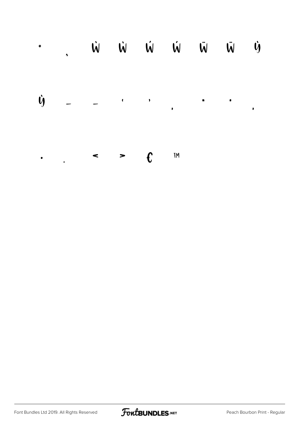#### Ŵ Ŵ Ŵ Ŵ Ŵ W Ý  $\bullet$  $\overline{\phantom{a}}$ **ý**  $\bullet$  $\sqrt{ }$  $\bullet$ Ŋ  $\bullet$  $\bullet$  $\mathbf{f}$ **TM**  $\rightarrow$  $\blacktriangleleft$  $\bullet$

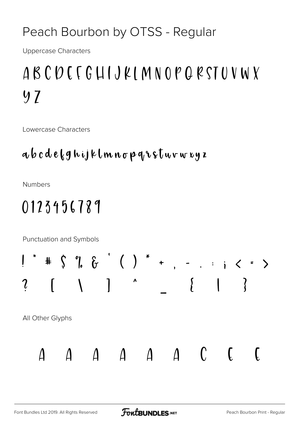### Peach Bourbon by OTSS - Regular

**Uppercase Characters** 

# $ABCO$   $C$   $D$   $C$   $C$   $G$   $H$   $I$   $J$   $R$   $I$   $M$   $N$   $O$   $P$   $Q$   $R$   $ST$   $U$   $V$   $W$   $X$  $97$

Lowercase Characters

### abcdefghijklmnopqrstuvwxyz

**Numbers** 

## 0123456789

Punctuation and Symbols

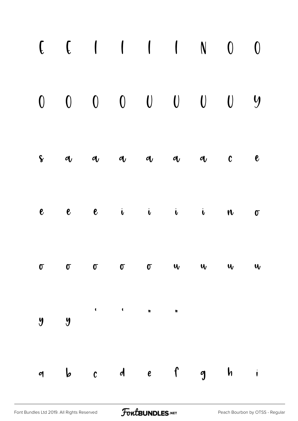|  |  | $\begin{array}{ccccccccccccccccccccc} \textbf{C} & \textbf{C} & \textbf{I} & \textbf{I} & \textbf{I} & \textbf{I} & \textbf{N} & \textbf{O} & \textbf{O} \end{array}$ |  |  |
|--|--|-----------------------------------------------------------------------------------------------------------------------------------------------------------------------|--|--|
|  |  |                                                                                                                                                                       |  |  |
|  |  | s a a a a a a c e                                                                                                                                                     |  |  |
|  |  | $e$ $e$ $e$ $i$ $i$ $i$ $i$ $n$ $\sigma$                                                                                                                              |  |  |
|  |  | $\sigma$ $\sigma$ $\sigma$ $\sigma$ $\sigma$ $\omega$ $\omega$ $\omega$                                                                                               |  |  |
|  |  |                                                                                                                                                                       |  |  |
|  |  | a b c d e f g h i                                                                                                                                                     |  |  |

FontBUNDLES.NET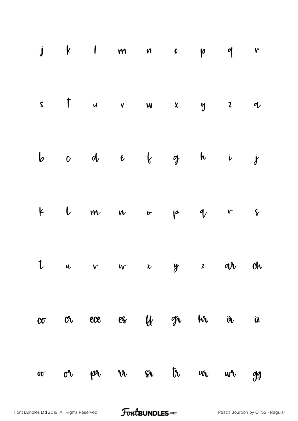|          | $j$ k l m n o p q r                                                                  |           |  |                   |    |                         |
|----------|--------------------------------------------------------------------------------------|-----------|--|-------------------|----|-------------------------|
|          | stuv w x y z q                                                                       |           |  |                   |    |                         |
|          | $\begin{array}{ccccccccccccccccc} b & c & d & e & \zeta & g & h & i & j \end{array}$ |           |  |                   |    |                         |
|          | $4$ l m n o p q r s                                                                  |           |  |                   |    |                         |
|          | t u v u x y z ar ch                                                                  |           |  |                   |    |                         |
| $\infty$ |                                                                                      | or ece es |  | ff gr hr ir       |    | $\overline{\mathbf{z}}$ |
| $\sigma$ |                                                                                      |           |  | or pr ir se tr ur | WE | 9 <sub>0</sub>          |